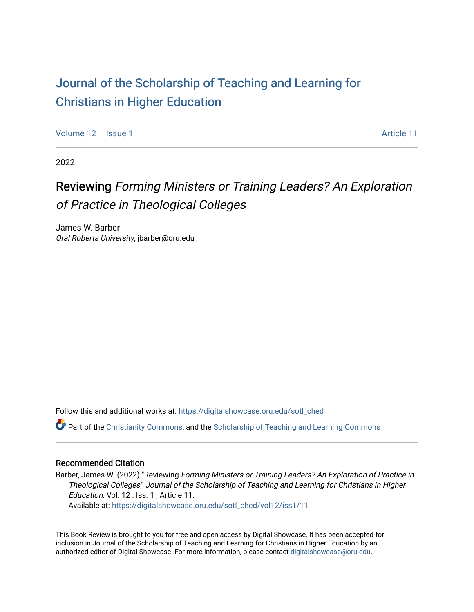## [Journal of the Scholarship of Teaching and Learning for](https://digitalshowcase.oru.edu/sotl_ched)  [Christians in Higher Education](https://digitalshowcase.oru.edu/sotl_ched)

[Volume 12](https://digitalshowcase.oru.edu/sotl_ched/vol12) | [Issue 1](https://digitalshowcase.oru.edu/sotl_ched/vol12/iss1) Article 11

2022

## Reviewing Forming Ministers or Training Leaders? An Exploration of Practice in Theological Colleges

James W. Barber Oral Roberts University, jbarber@oru.edu

Follow this and additional works at: [https://digitalshowcase.oru.edu/sotl\\_ched](https://digitalshowcase.oru.edu/sotl_ched?utm_source=digitalshowcase.oru.edu%2Fsotl_ched%2Fvol12%2Fiss1%2F11&utm_medium=PDF&utm_campaign=PDFCoverPages) 

**P** Part of the [Christianity Commons,](https://network.bepress.com/hgg/discipline/1181?utm_source=digitalshowcase.oru.edu%2Fsotl_ched%2Fvol12%2Fiss1%2F11&utm_medium=PDF&utm_campaign=PDFCoverPages) and the Scholarship of Teaching and Learning Commons

## Recommended Citation

Barber, James W. (2022) "Reviewing Forming Ministers or Training Leaders? An Exploration of Practice in Theological Colleges," Journal of the Scholarship of Teaching and Learning for Christians in Higher Education: Vol. 12 : Iss. 1 , Article 11.

Available at: [https://digitalshowcase.oru.edu/sotl\\_ched/vol12/iss1/11](https://digitalshowcase.oru.edu/sotl_ched/vol12/iss1/11?utm_source=digitalshowcase.oru.edu%2Fsotl_ched%2Fvol12%2Fiss1%2F11&utm_medium=PDF&utm_campaign=PDFCoverPages) 

This Book Review is brought to you for free and open access by Digital Showcase. It has been accepted for inclusion in Journal of the Scholarship of Teaching and Learning for Christians in Higher Education by an authorized editor of Digital Showcase. For more information, please contact [digitalshowcase@oru.edu.](mailto:digitalshowcase@oru.edu)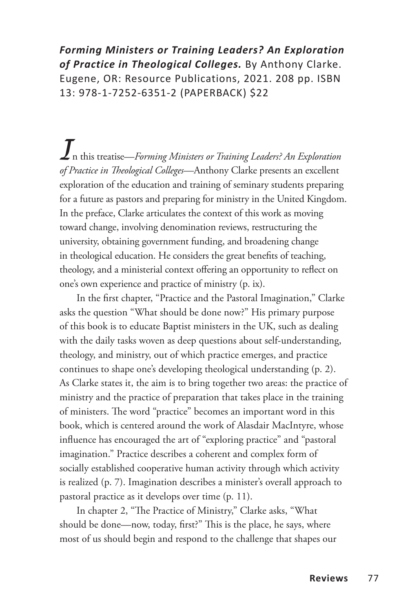*Forming Ministers or Training Leaders? An Exploration of Practice in Theological Colleges.* By Anthony Clarke. Eugene, OR: Resource Publications, 2021. 208 pp. ISBN 13: 978-1-7252-6351-2 (PAPERBACK) \$22

*I*n this treatise—*Forming Ministers or Training Leaders? An Exploration of Practice in Theological Colleges*—Anthony Clarke presents an excellent exploration of the education and training of seminary students preparing for a future as pastors and preparing for ministry in the United Kingdom. In the preface, Clarke articulates the context of this work as moving toward change, involving denomination reviews, restructuring the university, obtaining government funding, and broadening change in theological education. He considers the great benefits of teaching, theology, and a ministerial context offering an opportunity to reflect on one's own experience and practice of ministry (p. ix).

In the first chapter, "Practice and the Pastoral Imagination," Clarke asks the question "What should be done now?" His primary purpose of this book is to educate Baptist ministers in the UK, such as dealing with the daily tasks woven as deep questions about self-understanding, theology, and ministry, out of which practice emerges, and practice continues to shape one's developing theological understanding (p. 2). As Clarke states it, the aim is to bring together two areas: the practice of ministry and the practice of preparation that takes place in the training of ministers. The word "practice" becomes an important word in this book, which is centered around the work of Alasdair MacIntyre, whose influence has encouraged the art of "exploring practice" and "pastoral imagination." Practice describes a coherent and complex form of socially established cooperative human activity through which activity is realized (p. 7). Imagination describes a minister's overall approach to pastoral practice as it develops over time (p. 11).

In chapter 2, "The Practice of Ministry," Clarke asks, "What should be done—now, today, first?" This is the place, he says, where most of us should begin and respond to the challenge that shapes our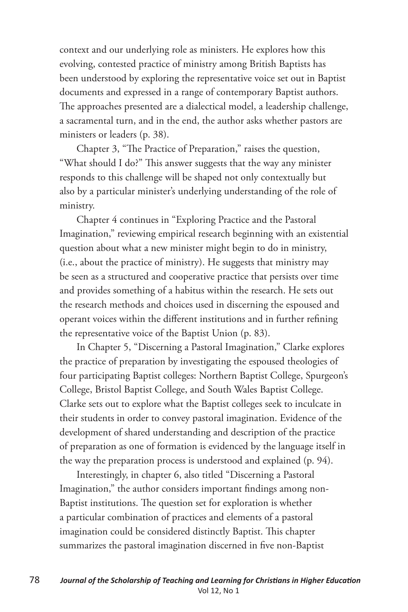context and our underlying role as ministers. He explores how this evolving, contested practice of ministry among British Baptists has been understood by exploring the representative voice set out in Baptist documents and expressed in a range of contemporary Baptist authors. The approaches presented are a dialectical model, a leadership challenge, a sacramental turn, and in the end, the author asks whether pastors are ministers or leaders (p. 38).

Chapter 3, "The Practice of Preparation," raises the question, "What should I do?" This answer suggests that the way any minister responds to this challenge will be shaped not only contextually but also by a particular minister's underlying understanding of the role of ministry.

Chapter 4 continues in "Exploring Practice and the Pastoral Imagination," reviewing empirical research beginning with an existential question about what a new minister might begin to do in ministry, (i.e., about the practice of ministry). He suggests that ministry may be seen as a structured and cooperative practice that persists over time and provides something of a habitus within the research. He sets out the research methods and choices used in discerning the espoused and operant voices within the different institutions and in further refining the representative voice of the Baptist Union (p. 83).

In Chapter 5, "Discerning a Pastoral Imagination," Clarke explores the practice of preparation by investigating the espoused theologies of four participating Baptist colleges: Northern Baptist College, Spurgeon's College, Bristol Baptist College, and South Wales Baptist College. Clarke sets out to explore what the Baptist colleges seek to inculcate in their students in order to convey pastoral imagination. Evidence of the development of shared understanding and description of the practice of preparation as one of formation is evidenced by the language itself in the way the preparation process is understood and explained (p. 94).

Interestingly, in chapter 6, also titled "Discerning a Pastoral Imagination," the author considers important findings among non-Baptist institutions. The question set for exploration is whether a particular combination of practices and elements of a pastoral imagination could be considered distinctly Baptist. This chapter summarizes the pastoral imagination discerned in five non-Baptist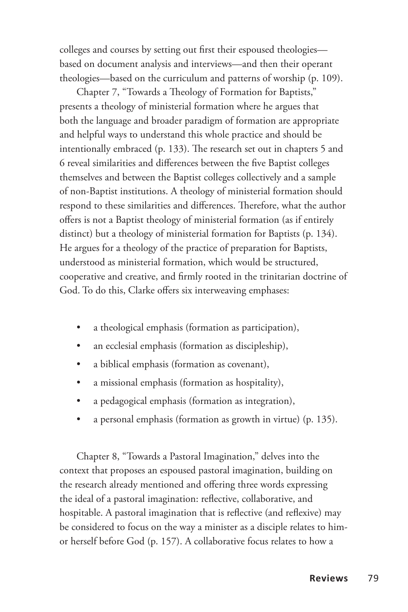colleges and courses by setting out first their espoused theologies based on document analysis and interviews—and then their operant theologies—based on the curriculum and patterns of worship (p. 109).

Chapter 7, "Towards a Theology of Formation for Baptists," presents a theology of ministerial formation where he argues that both the language and broader paradigm of formation are appropriate and helpful ways to understand this whole practice and should be intentionally embraced (p. 133). The research set out in chapters 5 and 6 reveal similarities and differences between the five Baptist colleges themselves and between the Baptist colleges collectively and a sample of non-Baptist institutions. A theology of ministerial formation should respond to these similarities and differences. Therefore, what the author offers is not a Baptist theology of ministerial formation (as if entirely distinct) but a theology of ministerial formation for Baptists (p. 134). He argues for a theology of the practice of preparation for Baptists, understood as ministerial formation, which would be structured, cooperative and creative, and firmly rooted in the trinitarian doctrine of God. To do this, Clarke offers six interweaving emphases:

- a theological emphasis (formation as participation),
- an ecclesial emphasis (formation as discipleship),
- a biblical emphasis (formation as covenant),
- a missional emphasis (formation as hospitality),
- a pedagogical emphasis (formation as integration),
- a personal emphasis (formation as growth in virtue) (p. 135).

Chapter 8, "Towards a Pastoral Imagination," delves into the context that proposes an espoused pastoral imagination, building on the research already mentioned and offering three words expressing the ideal of a pastoral imagination: reflective, collaborative, and hospitable. A pastoral imagination that is reflective (and reflexive) may be considered to focus on the way a minister as a disciple relates to himor herself before God (p. 157). A collaborative focus relates to how a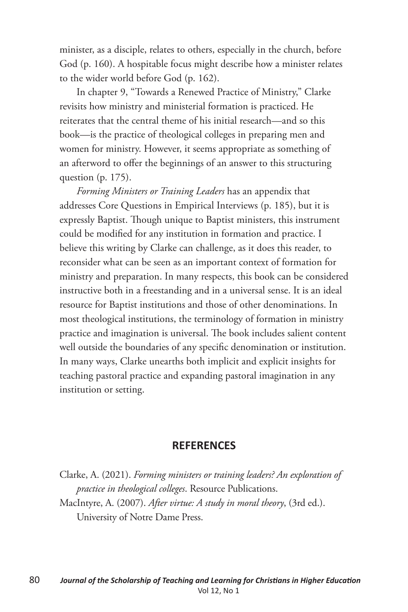minister, as a disciple, relates to others, especially in the church, before God (p. 160). A hospitable focus might describe how a minister relates to the wider world before God (p. 162).

In chapter 9, "Towards a Renewed Practice of Ministry," Clarke revisits how ministry and ministerial formation is practiced. He reiterates that the central theme of his initial research—and so this book—is the practice of theological colleges in preparing men and women for ministry. However, it seems appropriate as something of an afterword to offer the beginnings of an answer to this structuring question (p. 175).

*Forming Ministers or Training Leaders* has an appendix that addresses Core Questions in Empirical Interviews (p. 185), but it is expressly Baptist. Though unique to Baptist ministers, this instrument could be modified for any institution in formation and practice. I believe this writing by Clarke can challenge, as it does this reader, to reconsider what can be seen as an important context of formation for ministry and preparation. In many respects, this book can be considered instructive both in a freestanding and in a universal sense. It is an ideal resource for Baptist institutions and those of other denominations. In most theological institutions, the terminology of formation in ministry practice and imagination is universal. The book includes salient content well outside the boundaries of any specific denomination or institution. In many ways, Clarke unearths both implicit and explicit insights for teaching pastoral practice and expanding pastoral imagination in any institution or setting.

## **REFERENCES**

Clarke, A. (2021). *Forming ministers or training leaders? An exploration of practice in theological colleges*. Resource Publications. MacIntyre, A. (2007). *After virtue: A study in moral theory*, (3rd ed.). University of Notre Dame Press.